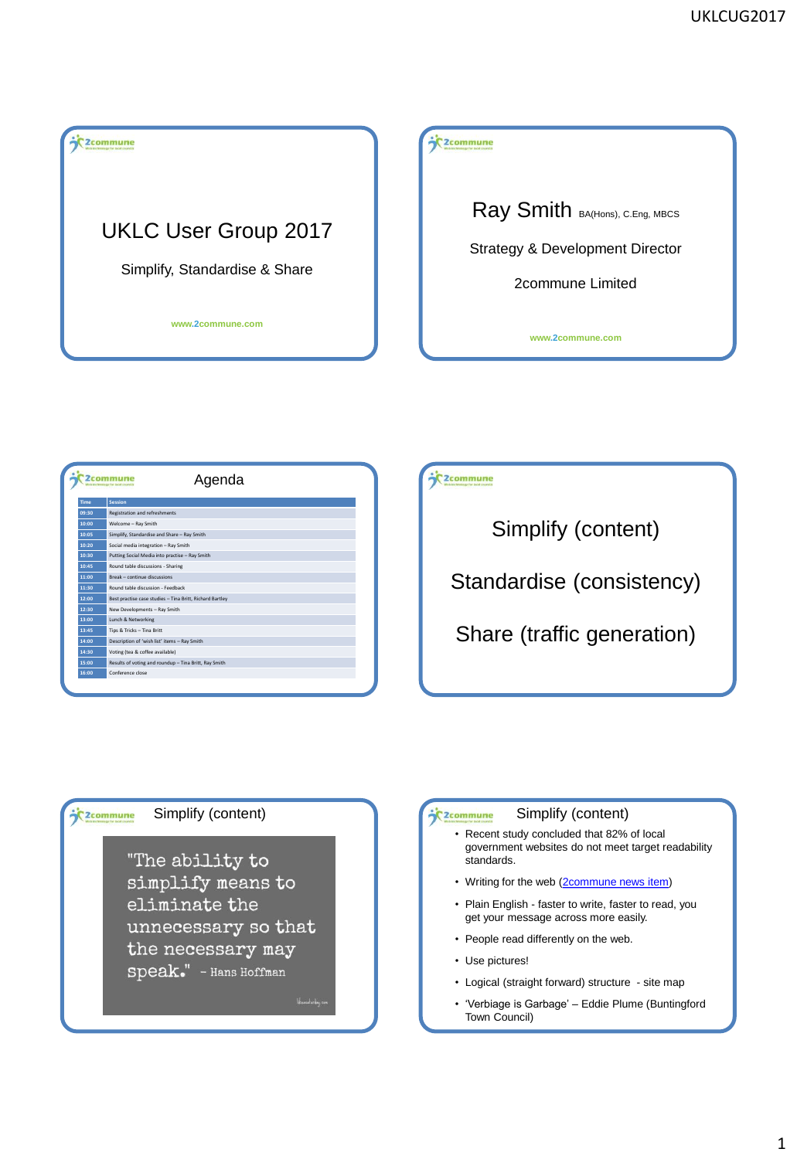## $\overline{\textbf{C}}$  2 commune

# UKLC User Group 2017

Simplify, Standardise & Share

**www.2commune.com**

### 2commune

Ray Smith BA(Hons), C.Eng, MBCS

Strategy & Development Director

2commune Limited

**www.2commune.com**

| Agenda<br>2commu |                                                          |
|------------------|----------------------------------------------------------|
| <b>Time</b>      | <b>Session</b>                                           |
| 09:30            | Registration and refreshments                            |
| 10:00            | Welcome - Ray Smith                                      |
| 10:05            | Simplify, Standardise and Share - Ray Smith              |
| 10:20            | Social media integration - Ray Smith                     |
| 10:30            | Putting Social Media into practise - Ray Smith           |
| 10:45            | Round table discussions - Sharing                        |
| 11:00            | <b>Break - continue discussions</b>                      |
| 11:30            | Round table discussion - Feedback                        |
| 12:00            | Best practise case studies - Tina Britt, Richard Bartley |
| 12:30            | New Developments - Ray Smith                             |
| 13:00            | Lunch & Networking                                       |
| 13:45            | Tips & Tricks - Tina Britt                               |
| 14:00            | Description of 'wish list' items - Ray Smith             |
| 14:30            | Voting (tea & coffee available)                          |
| 15:00            | Results of voting and roundup - Tina Britt, Ray Smith    |
| 16:00            | Conference close                                         |

### C<sub>2</sub>commune

Simplify (content)

Standardise (consistency)

Share (traffic generation)

## C<sub>2</sub>commune

"The ability to

simplify means to eliminate the unnecessary so that the necessary may Speak." - Hans Hoffman

### Simplify (content) Simplify (content)

- Recent study concluded that 82% of local government websites do not meet target readability standards.
- Writing for the web ([2commune news item\)](http://www.2commune.com/news/2016/09/writing-for-the-web)
- Plain English faster to write, faster to read, you get your message across more easily.
- People read differently on the web.
- Use pictures!
- Logical (straight forward) structure site map
- 'Verbiage is Garbage' Eddie Plume (Buntingford Town Council)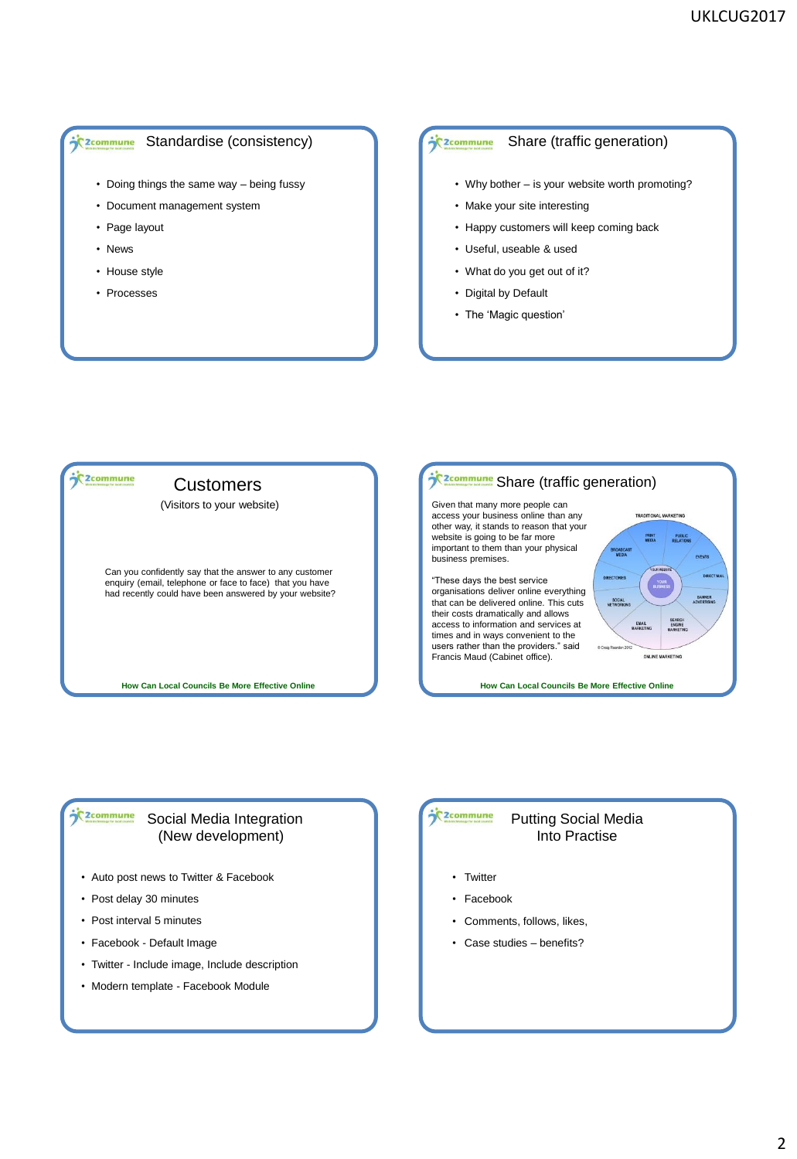#### Standardise (consistency) <sup>2</sup>C<sub>2</sub>commune

- Doing things the same way being fussy
- Document management system
- Page layout
- News
- House style
- Processes

#### Share (traffic generation) 2commune

- Why bother is your website worth promoting?
- Make your site interesting
- Happy customers will keep coming back
- Useful, useable & used
- What do you get out of it?
- Digital by Default
- The 'Magic question'



### **Caratomune** Social Media Integration (New development)

- Auto post news to Twitter & Facebook
- Post delay 30 minutes
- Post interval 5 minutes
- Facebook Default Image
- Twitter Include image, Include description
- Modern template Facebook Module

#### **C**2commune Putting Social Media Into Practise

- Twitter
- Facebook
- Comments, follows, likes,
- Case studies benefits?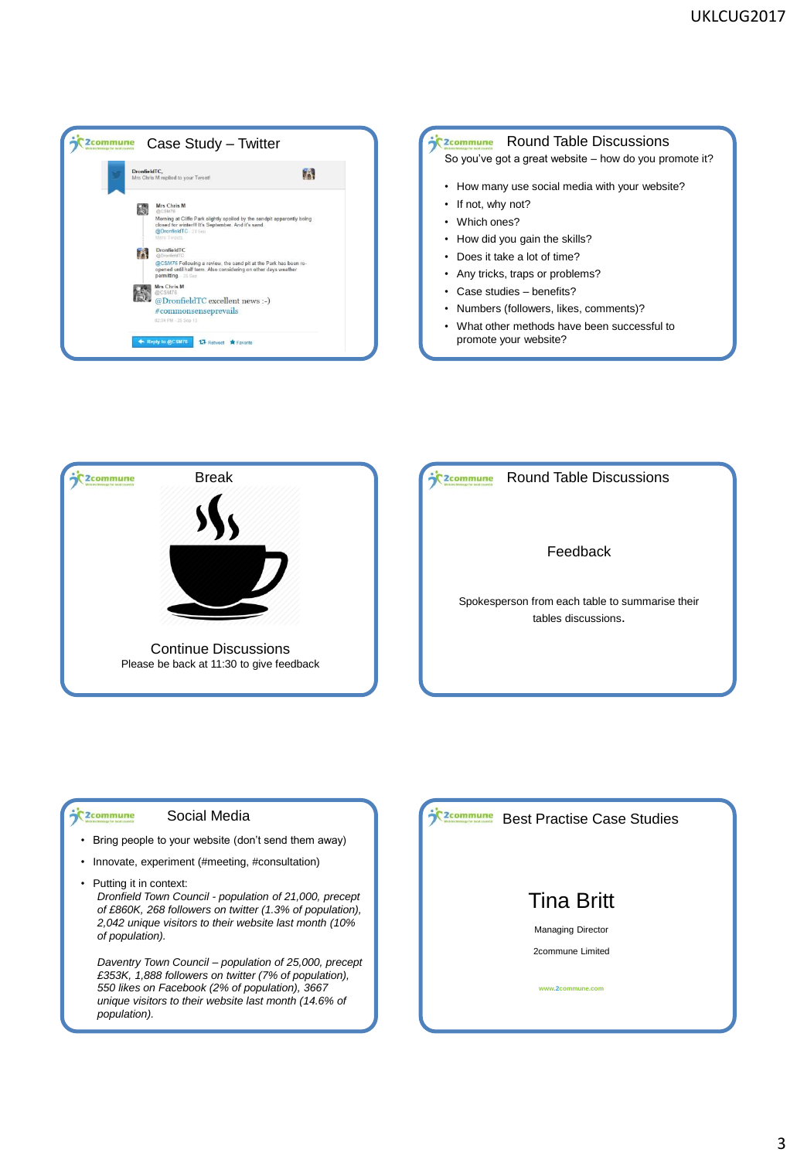





Round Table Discussions C<sub>2</sub>commune

Feedback

Spokesperson from each table to summarise their tables discussions.

### **Social Media**<br>Social Media

- Bring people to your website (don't send them away)
- Innovate, experiment (#meeting, #consultation)
- Putting it in context: *Dronfield Town Council - population of 21,000, precept of £860K, 268 followers on twitter (1.3% of population), 2,042 unique visitors to their website last month (10% of population).*

*Daventry Town Council – population of 25,000, precept £353K, 1,888 followers on twitter (7% of population), 550 likes on Facebook (2% of population), 3667 unique visitors to their website last month (14.6% of population).*

**Case Studies** Best Practise Case Studies

# Tina Britt

Managing Director

2commune Limited

**www.2commune.com**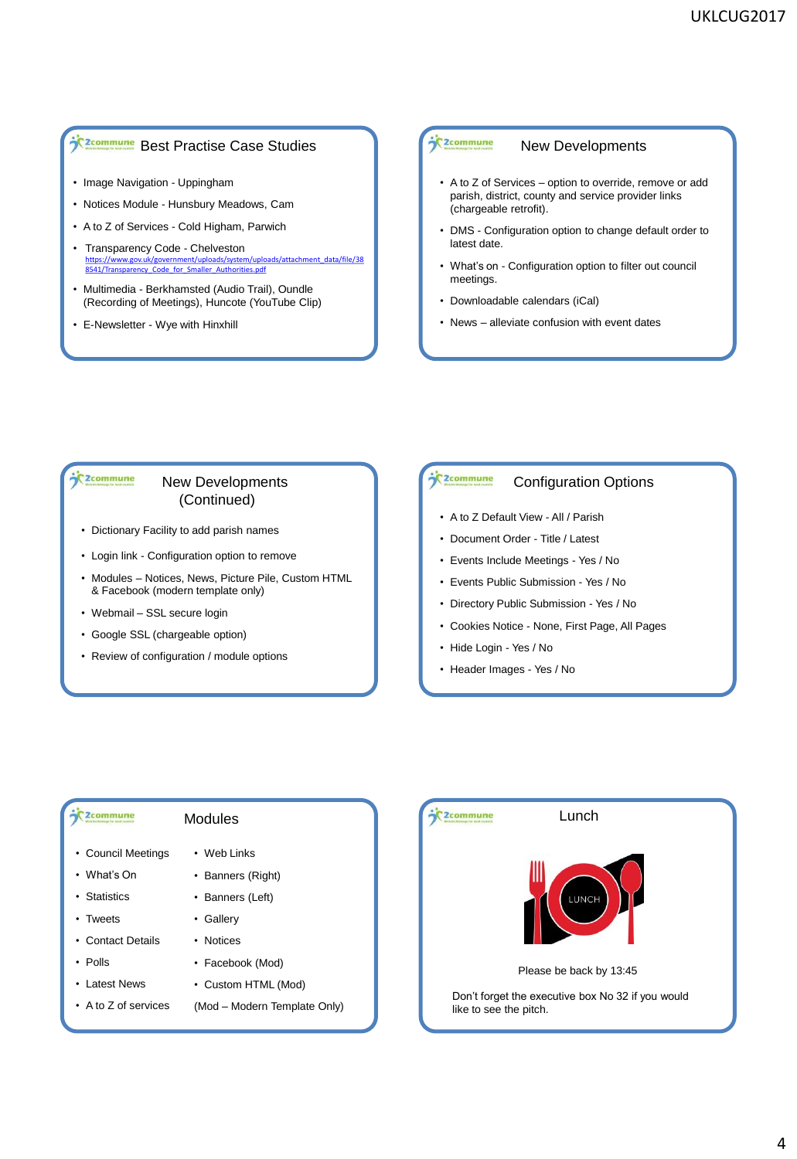## **j<sup>e</sup>**zcommune Best Practise Case Studies

- Image Navigation Uppingham
- Notices Module Hunsbury Meadows, Cam
- A to Z of Services Cold Higham, Parwich
- Transparency Code Chelveston ent/uploads/system/uploads/attachment\_data/file/38 [8541/Transparency\\_Code\\_for\\_Smaller\\_Authorities.pdf](https://www.gov.uk/government/uploads/system/uploads/attachment_data/file/388541/Transparency_Code_for_Smaller_Authorities.pdf)
- Multimedia Berkhamsted (Audio Trail), Oundle (Recording of Meetings), Huncote (YouTube Clip)
- E-Newsletter Wye with Hinxhill

### **C** 2commune

#### New Developments

- A to Z of Services option to override, remove or add parish, district, county and service provider links (chargeable retrofit).
- DMS Configuration option to change default order to latest date.
- What's on Configuration option to filter out council meetings.
- Downloadable calendars (iCal)
- News alleviate confusion with event dates

### C<sub>2</sub>commune

### New Developments (Continued)

- Dictionary Facility to add parish names
- Login link Configuration option to remove
- Modules Notices, News, Picture Pile, Custom HTML & Facebook (modern template only)
- Webmail SSL secure login
- Google SSL (chargeable option)
- Review of configuration / module options

#### C<sub>2</sub>commune Configuration Options

- A to Z Default View All / Parish
- Document Order Title / Latest
- Events Include Meetings Yes / No
- Events Public Submission Yes / No
- Directory Public Submission Yes / No
- Cookies Notice None, First Page, All Pages
- Hide Login Yes / No
- Header Images Yes / No

#### C<sub>2</sub> commune

### Modules

- Council Meetings
- What's On
- Statistics
- Tweets
- Contact Details
- Polls
- Latest News
- A to Z of services
- Web Links
- Banners (Right)
- Banners (Left)
- Gallery
- Notices
- Facebook (Mod)
- Custom HTML (Mod)
- (Mod Modern Template Only)

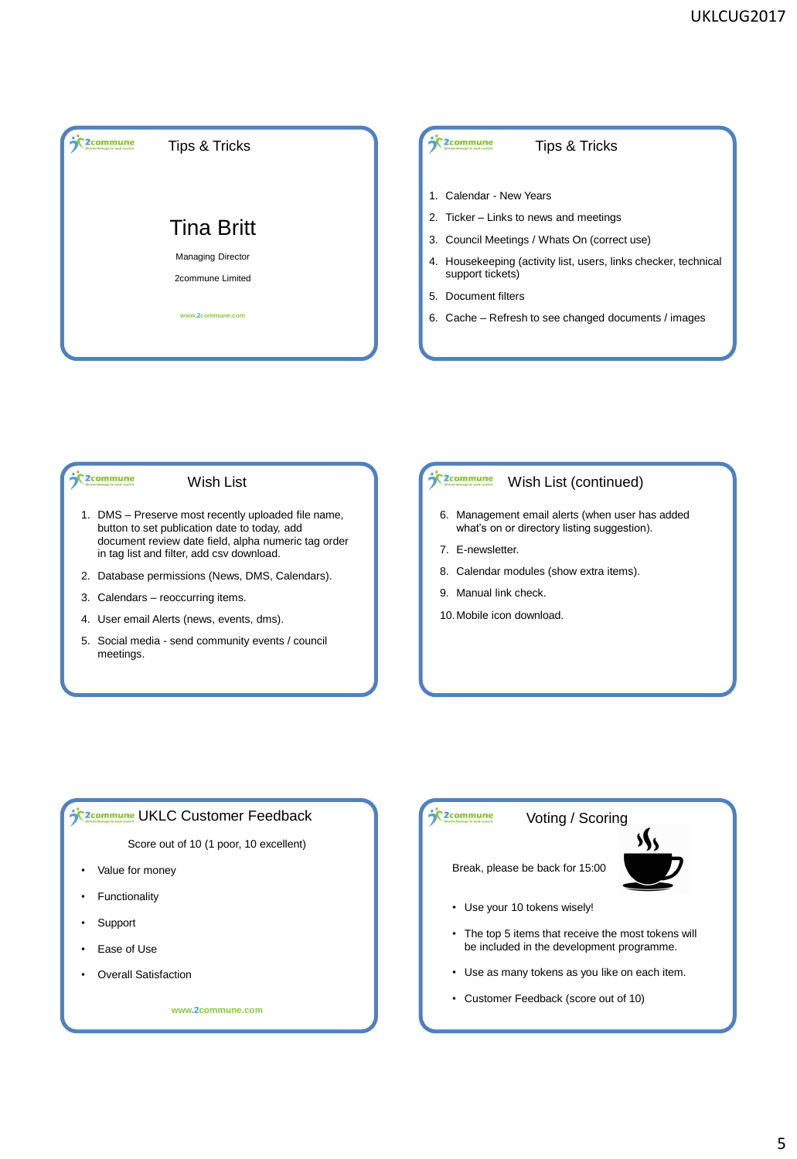

#### C<sub>2</sub>commune

Wish List

- 1. DMS Preserve most recently uploaded file name, button to set publication date to today, add document review date field, alpha numeric tag order in tag list and filter, add csv download.
- 2. Database permissions (News, DMS, Calendars).
- 3. Calendars reoccurring items.
- 4. User email Alerts (news, events, dms).
- 5. Social media send community events / council meetings.

#### C<sub>2</sub>commune Wish List (continued)

- 6. Management email alerts (when user has added what's on or directory listing suggestion).
- 7. E-newsletter.
- 8. Calendar modules (show extra items).
- 9. Manual link check.
- 10.Mobile icon download.

### **SCREAD THE UKLC Customer Feedback**

Score out of 10 (1 poor, 10 excellent)

- Value for money
- **Functionality**
- **Support**
- Ease of Use
- **Overall Satisfaction**

**www.2commune.com**

## **C**2commune

# Voting / Scoring

Break, please be back for 15:00



- Use your 10 tokens wisely!
- The top 5 items that receive the most tokens will be included in the development programme.
- Use as many tokens as you like on each item.
- Customer Feedback (score out of 10)